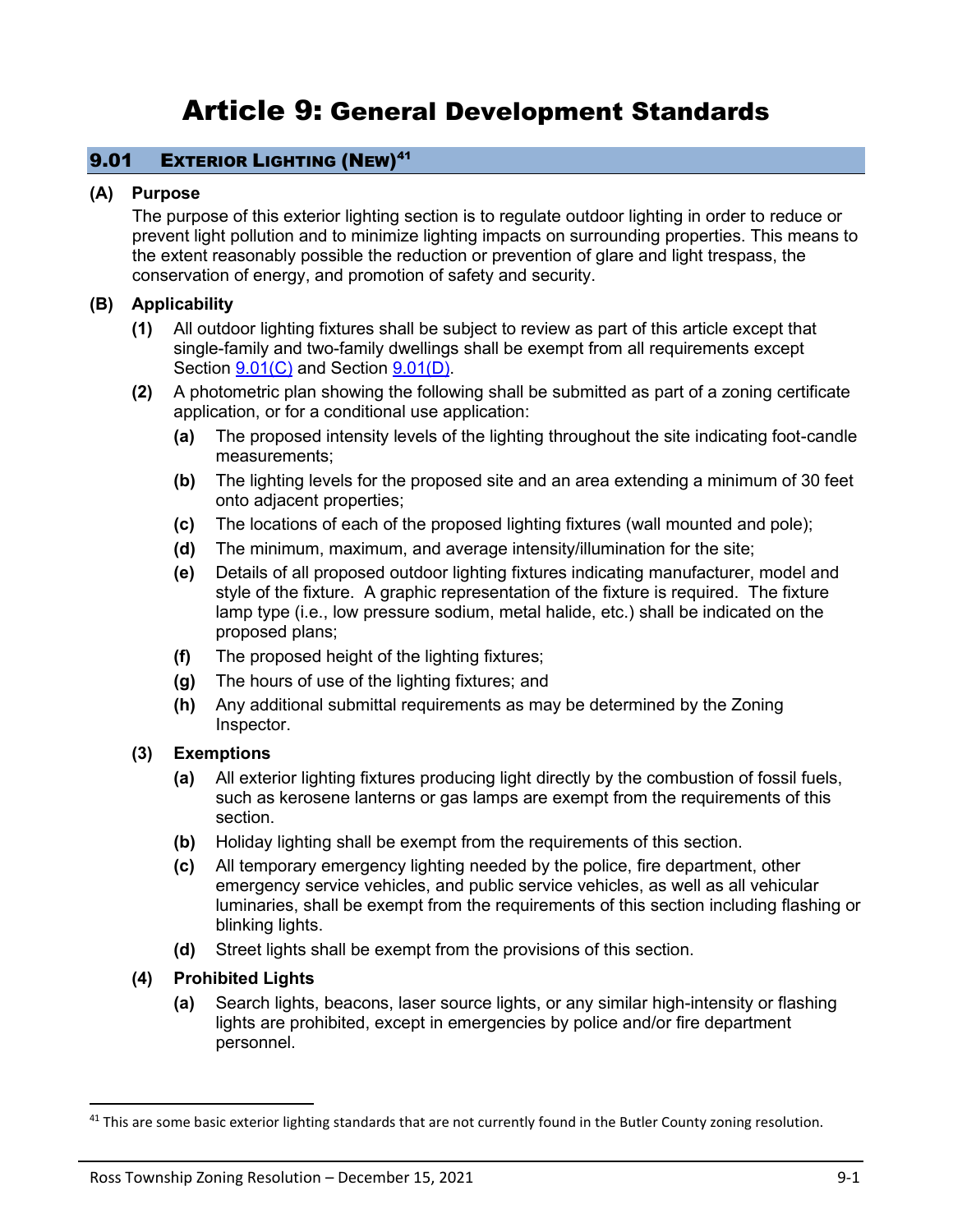# Article 9: General Development Standards

# 9.01 **EXTERIOR LIGHTING (NEW)**<sup>41</sup>

#### **(A) Purpose**

The purpose of this exterior lighting section is to regulate outdoor lighting in order to reduce or prevent light pollution and to minimize lighting impacts on surrounding properties. This means to the extent reasonably possible the reduction or prevention of glare and light trespass, the conservation of energy, and promotion of safety and security.

## **(B) Applicability**

- **(1)** All outdoor lighting fixtures shall be subject to review as part of this article except that single-family and two-family dwellings shall be exempt from all requirements except Section  $9.01(C)$  and Section  $9.01(D)$ .
- **(2)** A photometric plan showing the following shall be submitted as part of a zoning certificate application, or for a conditional use application:
	- **(a)** The proposed intensity levels of the lighting throughout the site indicating foot-candle measurements;
	- **(b)** The lighting levels for the proposed site and an area extending a minimum of 30 feet onto adjacent properties;
	- **(c)** The locations of each of the proposed lighting fixtures (wall mounted and pole);
	- **(d)** The minimum, maximum, and average intensity/illumination for the site;
	- **(e)** Details of all proposed outdoor lighting fixtures indicating manufacturer, model and style of the fixture. A graphic representation of the fixture is required. The fixture lamp type (i.e., low pressure sodium, metal halide, etc.) shall be indicated on the proposed plans;
	- **(f)** The proposed height of the lighting fixtures;
	- **(g)** The hours of use of the lighting fixtures; and
	- **(h)** Any additional submittal requirements as may be determined by the Zoning Inspector.

## **(3) Exemptions**

- **(a)** All exterior lighting fixtures producing light directly by the combustion of fossil fuels, such as kerosene lanterns or gas lamps are exempt from the requirements of this section.
- **(b)** Holiday lighting shall be exempt from the requirements of this section.
- **(c)** All temporary emergency lighting needed by the police, fire department, other emergency service vehicles, and public service vehicles, as well as all vehicular luminaries, shall be exempt from the requirements of this section including flashing or blinking lights.
- **(d)** Street lights shall be exempt from the provisions of this section.
- **(4) Prohibited Lights**
	- **(a)** Search lights, beacons, laser source lights, or any similar high-intensity or flashing lights are prohibited, except in emergencies by police and/or fire department personnel.

 $41$  This are some basic exterior lighting standards that are not currently found in the Butler County zoning resolution.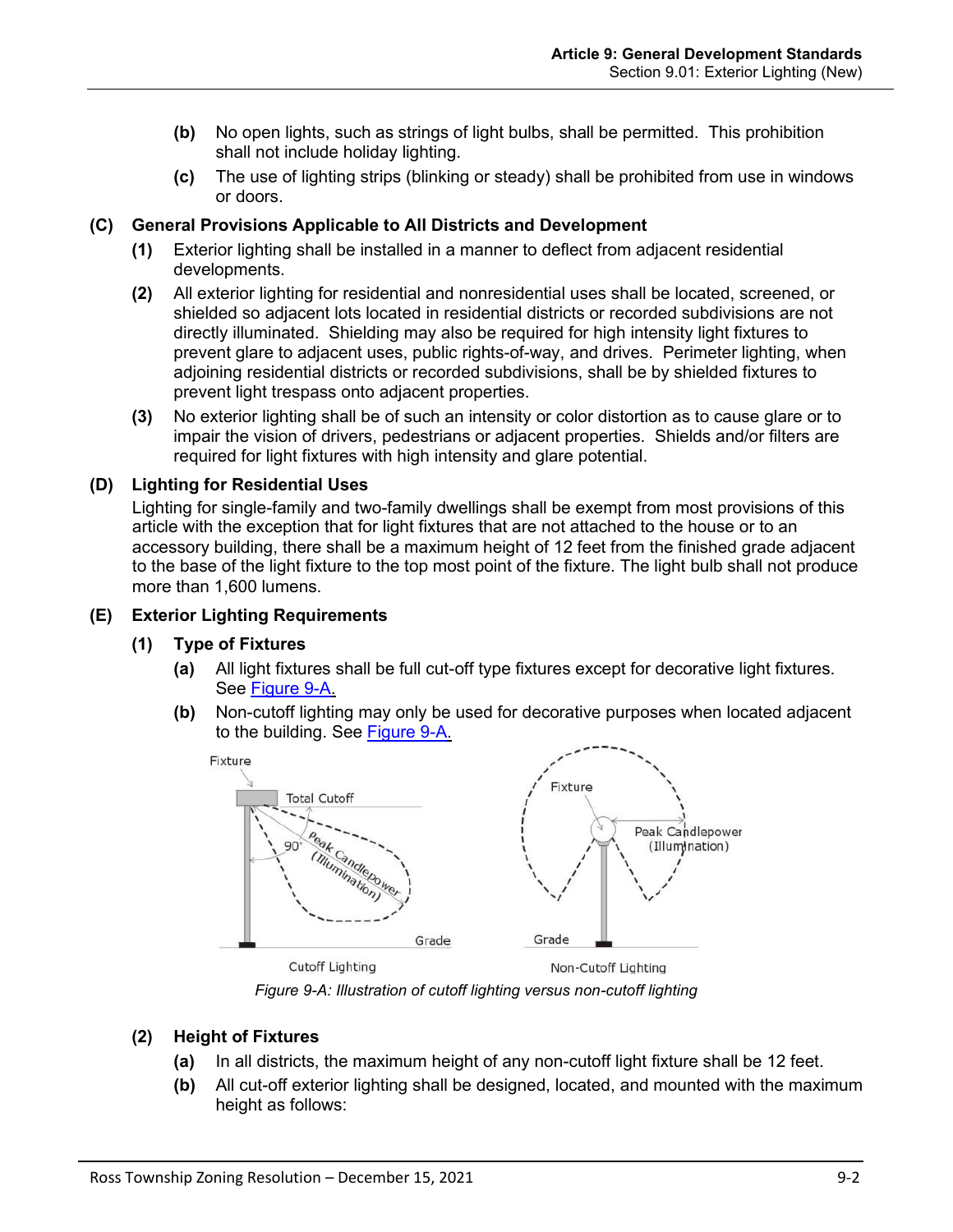- **(b)** No open lights, such as strings of light bulbs, shall be permitted. This prohibition shall not include holiday lighting.
- **(c)** The use of lighting strips (blinking or steady) shall be prohibited from use in windows or doors.

# <span id="page-1-0"></span>**(C) General Provisions Applicable to All Districts and Development**

- **(1)** Exterior lighting shall be installed in a manner to deflect from adjacent residential developments.
- **(2)** All exterior lighting for residential and nonresidential uses shall be located, screened, or shielded so adjacent lots located in residential districts or recorded subdivisions are not directly illuminated. Shielding may also be required for high intensity light fixtures to prevent glare to adjacent uses, public rights-of-way, and drives. Perimeter lighting, when adjoining residential districts or recorded subdivisions, shall be by shielded fixtures to prevent light trespass onto adjacent properties.
- **(3)** No exterior lighting shall be of such an intensity or color distortion as to cause glare or to impair the vision of drivers, pedestrians or adjacent properties. Shields and/or filters are required for light fixtures with high intensity and glare potential.

# <span id="page-1-1"></span>**(D) Lighting for Residential Uses**

Lighting for single-family and two-family dwellings shall be exempt from most provisions of this article with the exception that for light fixtures that are not attached to the house or to an accessory building, there shall be a maximum height of 12 feet from the finished grade adjacent to the base of the light fixture to the top most point of the fixture. The light bulb shall not produce more than 1,600 lumens.

# **(E) Exterior Lighting Requirements**

# **(1) Type of Fixtures**

- **(a)** All light fixtures shall be full cut-off type fixtures except for decorative light fixtures. See [Figure 9-A.](#page-1-2)
- **(b)** Non-cutoff lighting may only be used for decorative purposes when located adjacent to the building. See [Figure 9-A.](#page-1-2)



*Figure 9-A: Illustration of cutoff lighting versus non-cutoff lighting*

# <span id="page-1-2"></span>**(2) Height of Fixtures**

- **(a)** In all districts, the maximum height of any non-cutoff light fixture shall be 12 feet.
- **(b)** All cut-off exterior lighting shall be designed, located, and mounted with the maximum height as follows: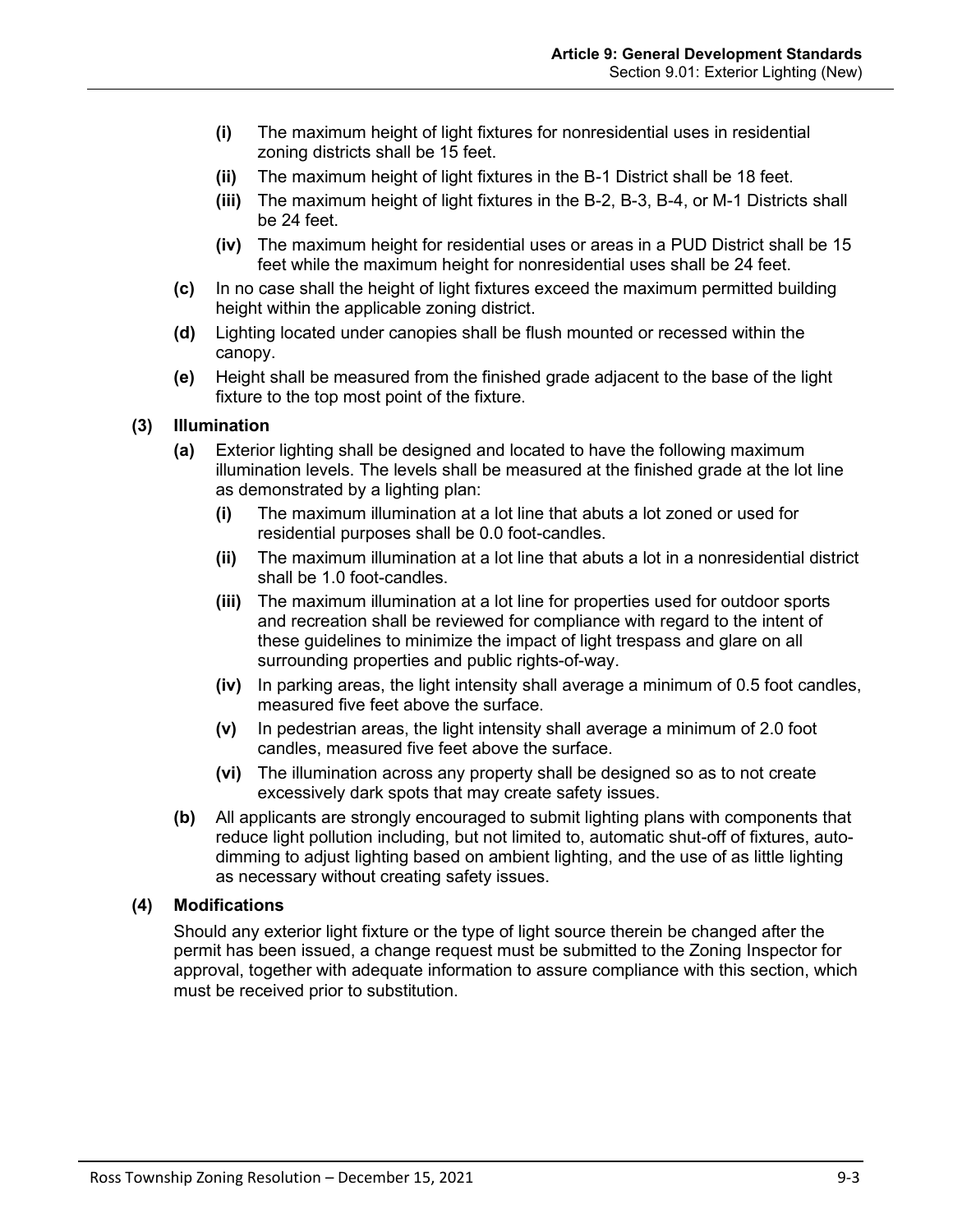- **(i)** The maximum height of light fixtures for nonresidential uses in residential zoning districts shall be 15 feet.
- **(ii)** The maximum height of light fixtures in the B-1 District shall be 18 feet.
- **(iii)** The maximum height of light fixtures in the B-2, B-3, B-4, or M-1 Districts shall be 24 feet.
- **(iv)** The maximum height for residential uses or areas in a PUD District shall be 15 feet while the maximum height for nonresidential uses shall be 24 feet.
- **(c)** In no case shall the height of light fixtures exceed the maximum permitted building height within the applicable zoning district.
- **(d)** Lighting located under canopies shall be flush mounted or recessed within the canopy.
- **(e)** Height shall be measured from the finished grade adjacent to the base of the light fixture to the top most point of the fixture.
- **(3) Illumination**
	- **(a)** Exterior lighting shall be designed and located to have the following maximum illumination levels. The levels shall be measured at the finished grade at the lot line as demonstrated by a lighting plan:
		- **(i)** The maximum illumination at a lot line that abuts a lot zoned or used for residential purposes shall be 0.0 foot-candles.
		- **(ii)** The maximum illumination at a lot line that abuts a lot in a nonresidential district shall be 1.0 foot-candles.
		- **(iii)** The maximum illumination at a lot line for properties used for outdoor sports and recreation shall be reviewed for compliance with regard to the intent of these guidelines to minimize the impact of light trespass and glare on all surrounding properties and public rights-of-way.
		- **(iv)** In parking areas, the light intensity shall average a minimum of 0.5 foot candles, measured five feet above the surface.
		- **(v)** In pedestrian areas, the light intensity shall average a minimum of 2.0 foot candles, measured five feet above the surface.
		- **(vi)** The illumination across any property shall be designed so as to not create excessively dark spots that may create safety issues.
	- **(b)** All applicants are strongly encouraged to submit lighting plans with components that reduce light pollution including, but not limited to, automatic shut-off of fixtures, autodimming to adjust lighting based on ambient lighting, and the use of as little lighting as necessary without creating safety issues.

## <span id="page-2-0"></span>**(4) Modifications**

Should any exterior light fixture or the type of light source therein be changed after the permit has been issued, a change request must be submitted to the Zoning Inspector for approval, together with adequate information to assure compliance with this section, which must be received prior to substitution.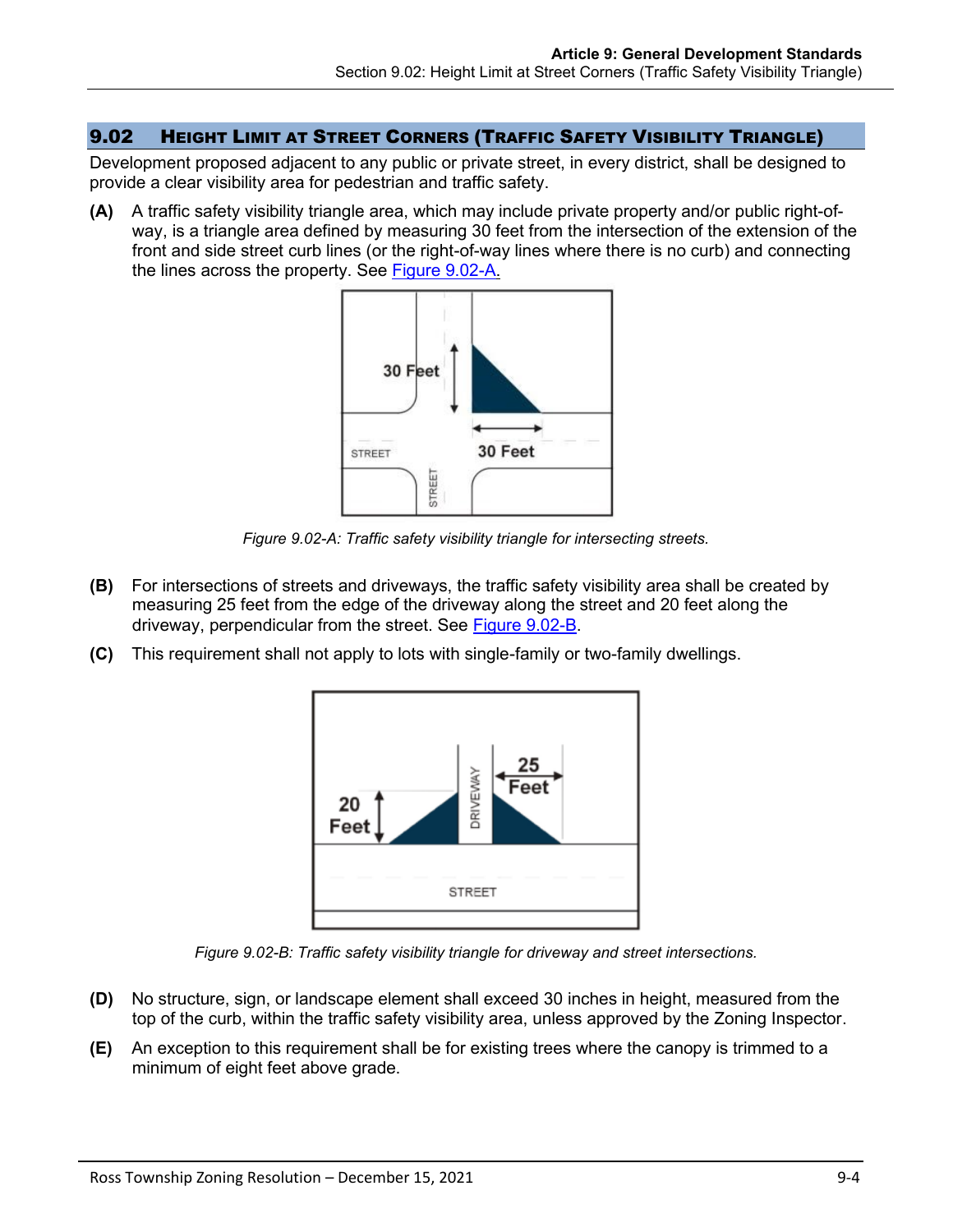## 9.02 HEIGHT LIMIT AT STREET CORNERS (TRAFFIC SAFETY VISIBILITY TRIANGLE)

Development proposed adjacent to any public or private street, in every district, shall be designed to provide a clear visibility area for pedestrian and traffic safety.

**(A)** A traffic safety visibility triangle area, which may include private property and/or public right-ofway, is a triangle area defined by measuring 30 feet from the intersection of the extension of the front and side street curb lines (or the right-of-way lines where there is no curb) and connecting the lines across the property. See [Figure 9.02-A.](#page-3-0)



*Figure 9.02-A: Traffic safety visibility triangle for intersecting streets.*

- <span id="page-3-0"></span>**(B)** For intersections of streets and driveways, the traffic safety visibility area shall be created by measuring 25 feet from the edge of the driveway along the street and 20 feet along the driveway, perpendicular from the street. See [Figure 9.02-B.](#page-3-1)
- **(C)** This requirement shall not apply to lots with single-family or two-family dwellings.



*Figure 9.02-B: Traffic safety visibility triangle for driveway and street intersections.*

- <span id="page-3-1"></span>**(D)** No structure, sign, or landscape element shall exceed 30 inches in height, measured from the top of the curb, within the traffic safety visibility area, unless approved by the Zoning Inspector.
- **(E)** An exception to this requirement shall be for existing trees where the canopy is trimmed to a minimum of eight feet above grade.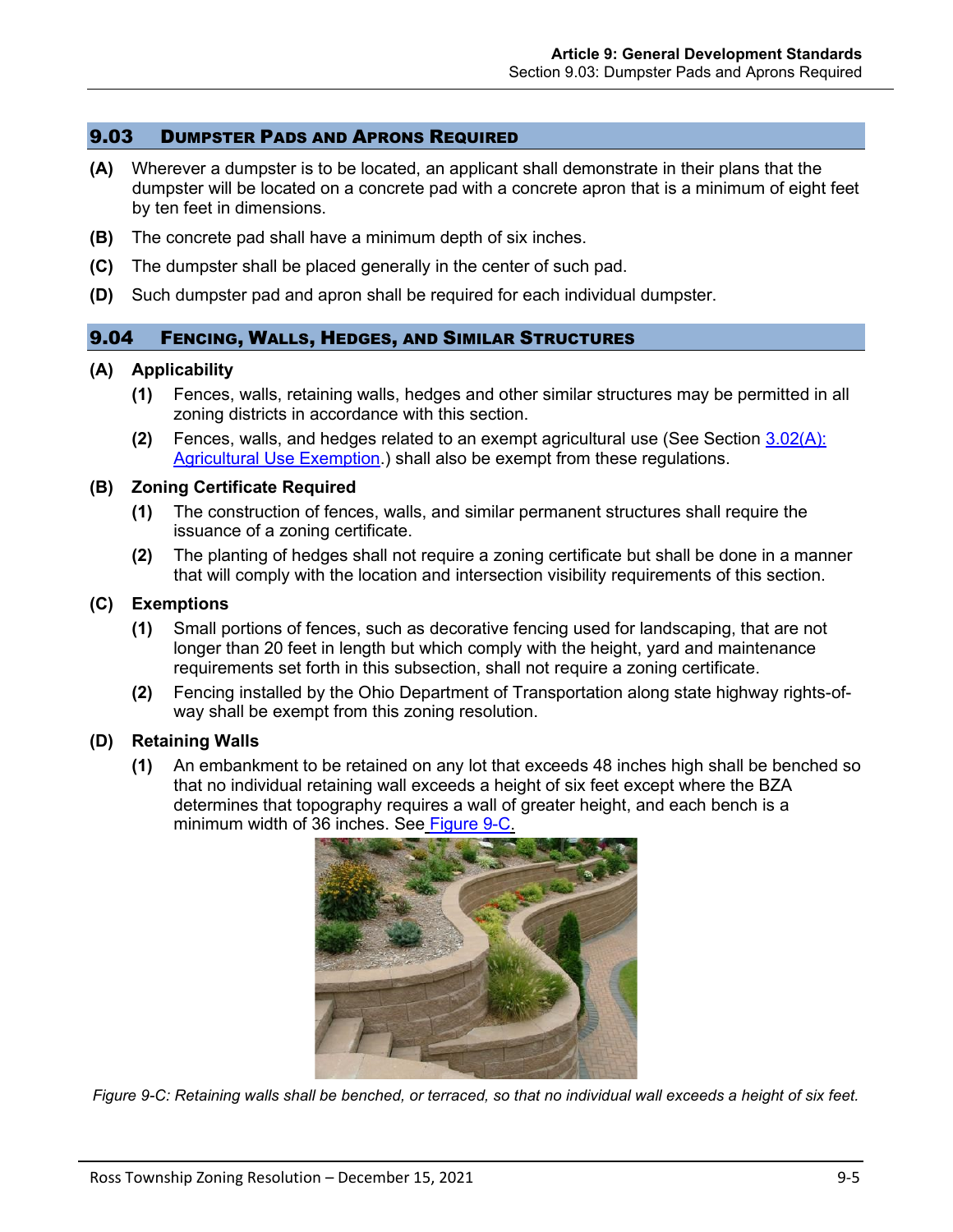#### 9.03 DUMPSTER PADS AND APRONS REQUIRED

- **(A)** Wherever a dumpster is to be located, an applicant shall demonstrate in their plans that the dumpster will be located on a concrete pad with a concrete apron that is a minimum of eight feet by ten feet in dimensions.
- **(B)** The concrete pad shall have a minimum depth of six inches.
- **(C)** The dumpster shall be placed generally in the center of such pad.
- **(D)** Such dumpster pad and apron shall be required for each individual dumpster.

## 9.04 FENCING, WALLS, HEDGES, AND SIMILAR STRUCTURES

#### **(A) Applicability**

- **(1)** Fences, walls, retaining walls, hedges and other similar structures may be permitted in all zoning districts in accordance with this section.
- **(2)** Fences, walls, and hedges related to an exempt agricultural use (See Section 3.02(A): Agricultural Use Exemption.) shall also be exempt from these regulations.

#### **(B) Zoning Certificate Required**

- **(1)** The construction of fences, walls, and similar permanent structures shall require the issuance of a zoning certificate.
- **(2)** The planting of hedges shall not require a zoning certificate but shall be done in a manner that will comply with the location and intersection visibility requirements of this section.

#### **(C) Exemptions**

- **(1)** Small portions of fences, such as decorative fencing used for landscaping, that are not longer than 20 feet in length but which comply with the height, yard and maintenance requirements set forth in this subsection, shall not require a zoning certificate.
- **(2)** Fencing installed by the Ohio Department of Transportation along state highway rights-ofway shall be exempt from this zoning resolution.

## **(D) Retaining Walls**

**(1)** An embankment to be retained on any lot that exceeds 48 inches high shall be benched so that no individual retaining wall exceeds a height of six feet except where the BZA determines that topography requires a wall of greater height, and each bench is a minimum width of 36 inches. See [Figure 9-C.](#page-4-0)



<span id="page-4-0"></span>*Figure 9-C: Retaining walls shall be benched, or terraced, so that no individual wall exceeds a height of six feet.*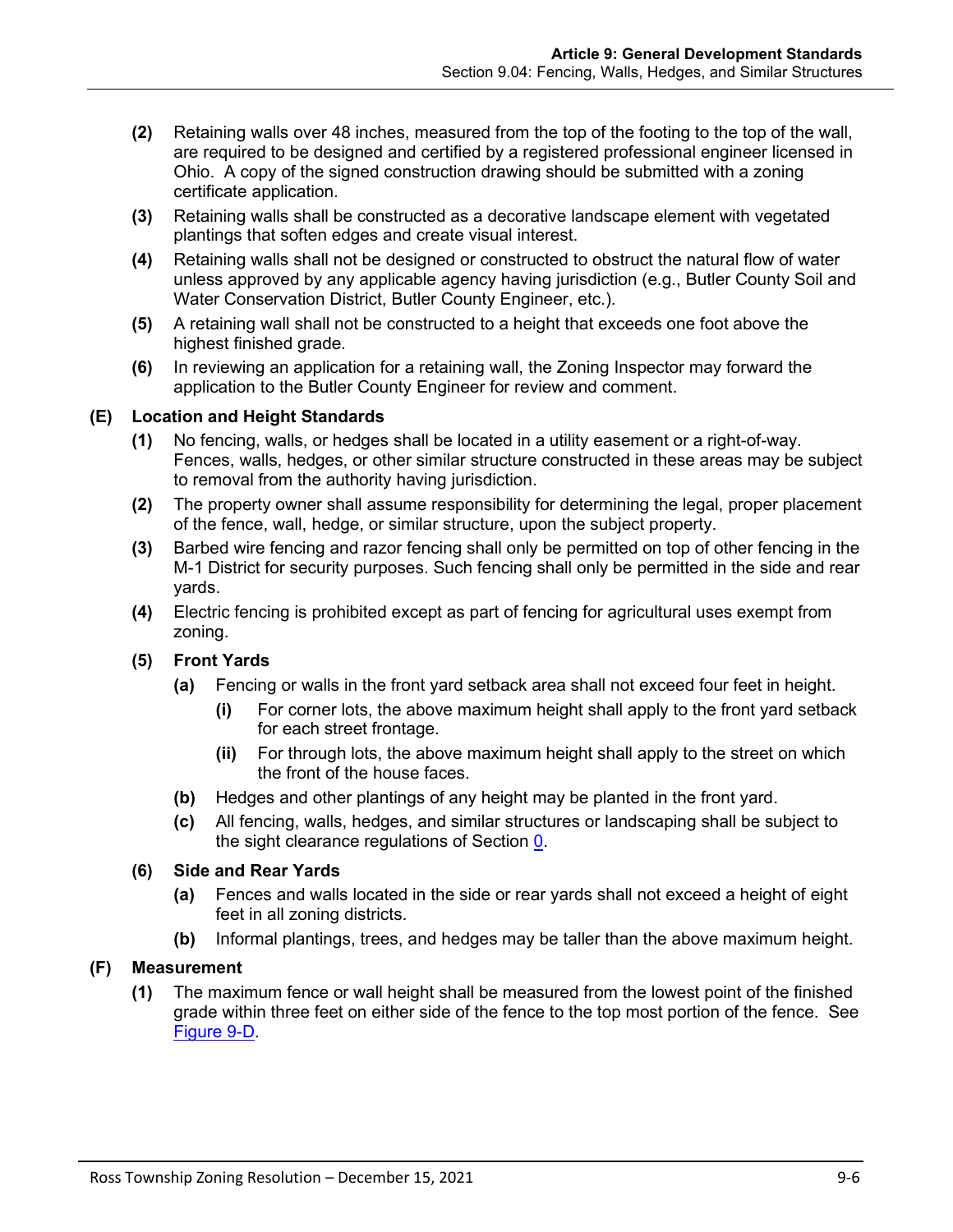- **(2)** Retaining walls over 48 inches, measured from the top of the footing to the top of the wall, are required to be designed and certified by a registered professional engineer licensed in Ohio. A copy of the signed construction drawing should be submitted with a zoning certificate application.
- **(3)** Retaining walls shall be constructed as a decorative landscape element with vegetated plantings that soften edges and create visual interest.
- **(4)** Retaining walls shall not be designed or constructed to obstruct the natural flow of water unless approved by any applicable agency having jurisdiction (e.g., Butler County Soil and Water Conservation District, Butler County Engineer, etc.).
- **(5)** A retaining wall shall not be constructed to a height that exceeds one foot above the highest finished grade.
- **(6)** In reviewing an application for a retaining wall, the Zoning Inspector may forward the application to the Butler County Engineer for review and comment.

# **(E) Location and Height Standards**

- **(1)** No fencing, walls, or hedges shall be located in a utility easement or a right-of-way. Fences, walls, hedges, or other similar structure constructed in these areas may be subject to removal from the authority having jurisdiction.
- **(2)** The property owner shall assume responsibility for determining the legal, proper placement of the fence, wall, hedge, or similar structure, upon the subject property.
- **(3)** Barbed wire fencing and razor fencing shall only be permitted on top of other fencing in the M-1 District for security purposes. Such fencing shall only be permitted in the side and rear yards.
- **(4)** Electric fencing is prohibited except as part of fencing for agricultural uses exempt from zoning.
- **(5) Front Yards**
	- **(a)** Fencing or walls in the front yard setback area shall not exceed four feet in height.
		- **(i)** For corner lots, the above maximum height shall apply to the front yard setback for each street frontage.
		- **(ii)** For through lots, the above maximum height shall apply to the street on which the front of the house faces.
	- **(b)** Hedges and other plantings of any height may be planted in the front yard.
	- **(c)** All fencing, walls, hedges, and similar structures or landscaping shall be subject to the sight clearance regulations of Section [0.](#page-2-0)

# **(6) Side and Rear Yards**

- **(a)** Fences and walls located in the side or rear yards shall not exceed a height of eight feet in all zoning districts.
- **(b)** Informal plantings, trees, and hedges may be taller than the above maximum height.

# **(F) Measurement**

**(1)** The maximum fence or wall height shall be measured from the lowest point of the finished grade within three feet on either side of the fence to the top most portion of the fence. See [Figure 9-D.](#page-6-0)